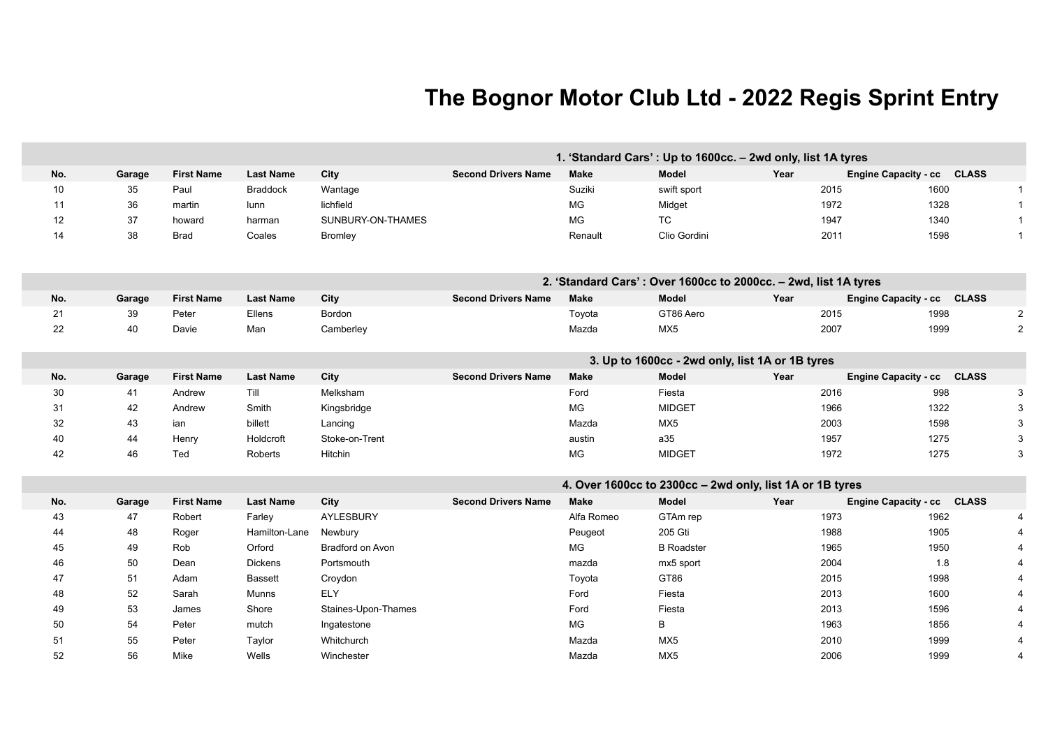## **The Bognor Motor Club Ltd - 2022 Regis Sprint Entry**

|     |        |                   |                  |                     |                            |             | 1. 'Standard Cars': Up to 1600cc. - 2wd only, list 1A tyres     |      |                            |                         |
|-----|--------|-------------------|------------------|---------------------|----------------------------|-------------|-----------------------------------------------------------------|------|----------------------------|-------------------------|
| No. | Garage | <b>First Name</b> | <b>Last Name</b> | City                | <b>Second Drivers Name</b> | <b>Make</b> | Model                                                           | Year | Engine Capacity - cc CLASS |                         |
| 10  | 35     | Paul              | <b>Braddock</b>  | Wantage             |                            | Suziki      | swift sport                                                     |      | 2015<br>1600               | $\mathbf{1}$            |
| 11  | 36     | martin            | lunn             | lichfield           |                            | MG          | Midget                                                          |      | 1972<br>1328               | $\mathbf{1}$            |
| 12  | 37     | howard            | harman           | SUNBURY-ON-THAMES   |                            | MG          | TC                                                              |      | 1340<br>1947               |                         |
| 14  | 38     | <b>Brad</b>       | Coales           | <b>Bromley</b>      |                            | Renault     | Clio Gordini                                                    |      | 2011<br>1598               |                         |
|     |        |                   |                  |                     |                            |             |                                                                 |      |                            |                         |
|     |        |                   |                  |                     |                            |             | 2. 'Standard Cars': Over 1600cc to 2000cc. - 2wd, list 1A tyres |      |                            |                         |
| No. | Garage | <b>First Name</b> | <b>Last Name</b> | City                | <b>Second Drivers Name</b> | <b>Make</b> | <b>Model</b>                                                    | Year | Engine Capacity - cc CLASS |                         |
| 21  | 39     | Peter             | Ellens           | Bordon              |                            | Toyota      | GT86 Aero                                                       |      | 2015<br>1998               | $\overline{2}$          |
| 22  | 40     | Davie             | Man              | Camberley           |                            | Mazda       | MX5                                                             |      | 2007<br>1999               |                         |
|     |        |                   |                  |                     |                            |             |                                                                 |      |                            |                         |
|     |        |                   |                  |                     |                            |             | 3. Up to 1600cc - 2wd only, list 1A or 1B tyres                 |      |                            |                         |
| No. | Garage | <b>First Name</b> | <b>Last Name</b> | City                | <b>Second Drivers Name</b> | <b>Make</b> | Model                                                           | Year | Engine Capacity - cc CLASS |                         |
| 30  | 41     | Andrew            | Till             | Melksham            |                            | Ford        | Fiesta                                                          |      | 998<br>2016                | 3                       |
| 31  | 42     | Andrew            | Smith            | Kingsbridge         |                            | MG          | <b>MIDGET</b>                                                   |      | 1966<br>1322               |                         |
| 32  | 43     | ian               | billett          | Lancing             |                            | Mazda       | MX5                                                             |      | 2003<br>1598               |                         |
| 40  | 44     | Henry             | Holdcroft        | Stoke-on-Trent      |                            | austin      | a35                                                             |      | 1957<br>1275               |                         |
| 42  | 46     | Ted               | Roberts          | Hitchin             |                            | MG          | <b>MIDGET</b>                                                   |      | 1275<br>1972               |                         |
|     |        |                   |                  |                     |                            |             | 4. Over 1600cc to 2300cc - 2wd only, list 1A or 1B tyres        |      |                            |                         |
| No. | Garage | <b>First Name</b> | <b>Last Name</b> | City                | <b>Second Drivers Name</b> | <b>Make</b> | Model                                                           | Year | Engine Capacity - cc CLASS |                         |
| 43  | 47     | Robert            | Farley           | AYLESBURY           |                            | Alfa Romeo  | GTAm rep                                                        |      | 1973<br>1962               | $\overline{4}$          |
| 44  | 48     | Roger             | Hamilton-Lane    | Newbury             |                            | Peugeot     | 205 Gti                                                         |      | 1988<br>1905               |                         |
| 45  | 49     | Rob               | Orford           | Bradford on Avon    |                            | MG          | <b>B</b> Roadster                                               |      | 1965<br>1950               |                         |
| 46  | 50     | Dean              | <b>Dickens</b>   | Portsmouth          |                            | mazda       | mx5 sport                                                       |      | 2004<br>1.8                |                         |
| 47  | 51     | Adam              | <b>Bassett</b>   | Croydon             |                            | Toyota      | GT86                                                            |      | 2015<br>1998               |                         |
| 48  | 52     | Sarah             | Munns            | <b>ELY</b>          |                            | Ford        | Fiesta                                                          |      | 2013<br>1600               |                         |
| 49  | 53     | James             | Shore            | Staines-Upon-Thames |                            | Ford        | Fiesta                                                          |      | 2013<br>1596               |                         |
| 50  | 54     | Peter             | mutch            | Ingatestone         |                            | <b>MG</b>   | B                                                               |      | 1963<br>1856               |                         |
| 51  | 55     | Peter             | Taylor           | Whitchurch          |                            | Mazda       | MX <sub>5</sub>                                                 |      | 2010<br>1999               |                         |
| 52  | 56     | Mike              | Wells            | Winchester          |                            | Mazda       | MX <sub>5</sub>                                                 |      | 2006<br>1999               | $\overline{\mathbf{4}}$ |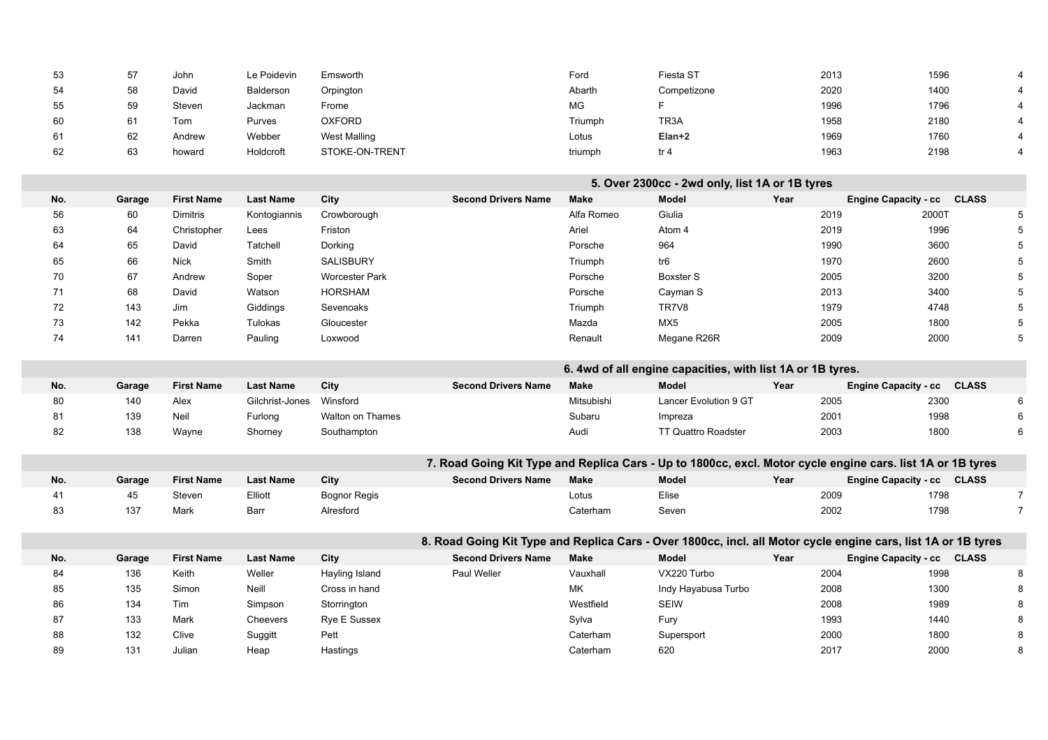| 53  | 57     | John              | Le Poidevin      | Emsworth              |                                                                                                               | Ford        | Fiesta ST                                                  | 2013 |                             | 1596         |                 |
|-----|--------|-------------------|------------------|-----------------------|---------------------------------------------------------------------------------------------------------------|-------------|------------------------------------------------------------|------|-----------------------------|--------------|-----------------|
| 54  | 58     | David             | Balderson        | Orpington             |                                                                                                               | Abarth      | Competizone                                                | 2020 |                             | 1400         | 4               |
| 55  | 59     | Steven            | Jackman          | Frome                 |                                                                                                               | MG          | F.                                                         | 1996 |                             | 1796         | 4               |
| 60  | 61     | Tom               | Purves           | <b>OXFORD</b>         |                                                                                                               | Triumph     | TR <sub>3</sub> A                                          | 1958 |                             | 2180         | 4               |
| 61  | 62     | Andrew            | Webber           | <b>West Malling</b>   |                                                                                                               | Lotus       | Elan+2                                                     | 1969 |                             | 1760         |                 |
| 62  | 63     | howard            | Holdcroft        | STOKE-ON-TRENT        |                                                                                                               | triumph     | tr <sub>4</sub>                                            | 1963 |                             | 2198         | 4               |
|     |        |                   |                  |                       |                                                                                                               |             |                                                            |      |                             |              |                 |
|     |        |                   |                  |                       |                                                                                                               |             | 5. Over 2300cc - 2wd only, list 1A or 1B tyres             |      |                             |              |                 |
| No. | Garage | <b>First Name</b> | <b>Last Name</b> | City                  | <b>Second Drivers Name</b>                                                                                    | <b>Make</b> | Model                                                      | Year | <b>Engine Capacity - cc</b> | <b>CLASS</b> |                 |
| 56  | 60     | <b>Dimitris</b>   | Kontogiannis     | Crowborough           |                                                                                                               | Alfa Romeo  | Giulia                                                     | 2019 |                             | 2000T        | 5               |
| 63  | 64     | Christopher       | Lees             | Friston               |                                                                                                               | Ariel       | Atom 4                                                     | 2019 |                             | 1996         | 5               |
| 64  | 65     | David             | Tatchell         | Dorking               |                                                                                                               | Porsche     | 964                                                        | 1990 |                             | 3600         | 5               |
| 65  | 66     | <b>Nick</b>       | Smith            | SALISBURY             |                                                                                                               | Triumph     | tr6                                                        | 1970 |                             | 2600         | 5               |
| 70  | 67     | Andrew            | Soper            | <b>Worcester Park</b> |                                                                                                               | Porsche     | <b>Boxster S</b>                                           | 2005 |                             | 3200         | $\sqrt{5}$      |
| 71  | 68     | David             | Watson           | <b>HORSHAM</b>        |                                                                                                               | Porsche     | Cayman S                                                   | 2013 |                             | 3400         | $\sqrt{5}$      |
| 72  | 143    | Jim               | Giddings         | Sevenoaks             |                                                                                                               | Triumph     | TR7V8                                                      | 1979 |                             | 4748         | $5\phantom{.0}$ |
| 73  | 142    | Pekka             | Tulokas          | Gloucester            |                                                                                                               | Mazda       | MX <sub>5</sub>                                            | 2005 |                             | 1800         | $\,$ 5 $\,$     |
| 74  | 141    | Darren            | Pauling          | Loxwood               |                                                                                                               | Renault     | Megane R26R                                                | 2009 |                             | 2000         | $\sqrt{5}$      |
|     |        |                   |                  |                       |                                                                                                               |             |                                                            |      |                             |              |                 |
|     |        |                   |                  |                       |                                                                                                               |             | 6. 4wd of all engine capacities, with list 1A or 1B tyres. |      |                             |              |                 |
| No. | Garage | <b>First Name</b> | <b>Last Name</b> | City                  | <b>Second Drivers Name</b>                                                                                    | <b>Make</b> | <b>Model</b>                                               | Year | Engine Capacity - cc CLASS  |              |                 |
| 80  | 140    | Alex              | Gilchrist-Jones  | Winsford              |                                                                                                               | Mitsubishi  | Lancer Evolution 9 GT                                      | 2005 |                             | 2300         | 6               |
| 81  | 139    | Neil              | Furlong          | Walton on Thames      |                                                                                                               | Subaru      | Impreza                                                    | 2001 |                             | 1998         | 6               |
| 82  | 138    | Wayne             | Shorney          | Southampton           |                                                                                                               | Audi        | <b>TT Quattro Roadster</b>                                 | 2003 |                             | 1800         | 6               |
|     |        |                   |                  |                       |                                                                                                               |             |                                                            |      |                             |              |                 |
|     |        |                   |                  |                       | 7. Road Going Kit Type and Replica Cars - Up to 1800cc, excl. Motor cycle engine cars. list 1A or 1B tyres    |             |                                                            |      |                             |              |                 |
| No. | Garage | <b>First Name</b> | <b>Last Name</b> | City                  | <b>Second Drivers Name</b>                                                                                    | <b>Make</b> | Model                                                      | Year | Engine Capacity - cc CLASS  |              |                 |
| 41  | 45     | Steven            | Elliott          | <b>Bognor Regis</b>   |                                                                                                               | Lotus       | Elise                                                      | 2009 |                             | 1798         | $\overline{7}$  |
| 83  | 137    | Mark              | Barr             | Alresford             |                                                                                                               | Caterham    | Seven                                                      | 2002 |                             | 1798         | $\overline{7}$  |
|     |        |                   |                  |                       |                                                                                                               |             |                                                            |      |                             |              |                 |
|     |        |                   |                  |                       | 8. Road Going Kit Type and Replica Cars - Over 1800cc, incl. all Motor cycle engine cars, list 1A or 1B tyres |             |                                                            |      |                             |              |                 |
| No. | Garage | <b>First Name</b> | <b>Last Name</b> | City                  | <b>Second Drivers Name</b>                                                                                    | <b>Make</b> | Model                                                      | Year | Engine Capacity - cc CLASS  |              |                 |
| 84  | 136    | Keith             | Weller           | Hayling Island        | Paul Weller                                                                                                   | Vauxhall    | VX220 Turbo                                                | 2004 |                             | 1998         | 8               |
| 85  | 135    | Simon             | Neill            | Cross in hand         |                                                                                                               | MK          | Indy Hayabusa Turbo                                        | 2008 |                             | 1300         | 8               |
| 86  | 134    | Tim               | Simpson          | Storrington           |                                                                                                               | Westfield   | <b>SEIW</b>                                                | 2008 |                             | 1989         | 8               |

87 133 Mark Cheevers Rye E Sussex Sylva Fury 1993 1440 8 88 132 Clive Suggitt Pett Caterham Supersport 2000 1800 8 89 131 Julian Heap Hastings Caterham 620 2017 2000 8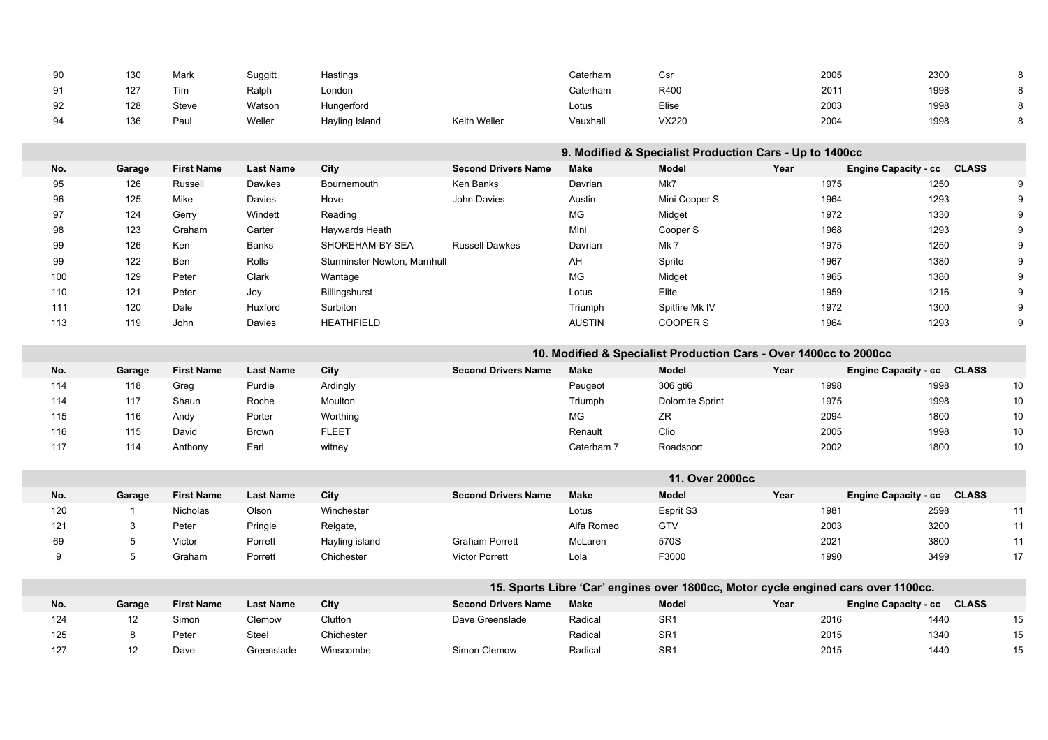| 90  | 130            | Mark              | Suggitt          | Hastings                     |                            | Caterham      | Csr                                                                               |      | 2005                        | 2300         | 8    |
|-----|----------------|-------------------|------------------|------------------------------|----------------------------|---------------|-----------------------------------------------------------------------------------|------|-----------------------------|--------------|------|
| 91  | 127            | Tim               | Ralph            | London                       |                            | Caterham      | R400                                                                              |      | 2011                        | 1998         | 8    |
| 92  | 128            | Steve             | Watson           | Hungerford                   |                            | Lotus         | Elise                                                                             |      | 2003                        | 1998         | 8    |
| 94  | 136            | Paul              | Weller           | Hayling Island               | <b>Keith Weller</b>        | Vauxhall      | VX220                                                                             |      | 2004                        | 1998         | 8    |
|     |                |                   |                  |                              |                            |               |                                                                                   |      |                             |              |      |
|     |                |                   |                  |                              |                            |               | 9. Modified & Specialist Production Cars - Up to 1400cc                           |      |                             |              |      |
| No. | Garage         | <b>First Name</b> | <b>Last Name</b> | City                         | <b>Second Drivers Name</b> | <b>Make</b>   | Model                                                                             | Year | Engine Capacity - cc CLASS  |              |      |
| 95  | 126            | Russell           | Dawkes           | Bournemouth                  | Ken Banks                  | Davrian       | Mk7                                                                               |      | 1975                        | 1250         | 9    |
| 96  | 125            | Mike              | Davies           | Hove                         | John Davies                | Austin        | Mini Cooper S                                                                     |      | 1964                        | 1293         | 9    |
| 97  | 124            | Gerry             | Windett          | Reading                      |                            | MG            | Midget                                                                            |      | 1972                        | 1330         | 9    |
| 98  | 123            | Graham            | Carter           | Haywards Heath               |                            | Mini          | Cooper S                                                                          |      | 1968                        | 1293         | 9    |
| 99  | 126            | Ken               | Banks            | SHOREHAM-BY-SEA              | <b>Russell Dawkes</b>      | Davrian       | Mk 7                                                                              |      | 1975                        | 1250         | 9    |
| 99  | 122            | Ben               | Rolls            | Sturminster Newton, Marnhull |                            | AH            | Sprite                                                                            |      | 1967                        | 1380         | 9    |
| 100 | 129            | Peter             | Clark            | Wantage                      |                            | MG            | Midget                                                                            |      | 1965                        | 1380         | 9    |
| 110 | 121            | Peter             | Joy              | Billingshurst                |                            | Lotus         | Elite                                                                             |      | 1959                        | 1216         | 9    |
| 111 | 120            | Dale              | Huxford          | Surbiton                     |                            | Triumph       | Spitfire Mk IV                                                                    |      | 1972                        | 1300         | 9    |
| 113 | 119            | John              | Davies           | <b>HEATHFIELD</b>            |                            | <b>AUSTIN</b> | <b>COOPER S</b>                                                                   |      | 1964                        | 1293         | 9    |
|     |                |                   |                  |                              |                            |               |                                                                                   |      |                             |              |      |
|     |                |                   |                  |                              |                            |               | 10. Modified & Specialist Production Cars - Over 1400cc to 2000cc                 |      |                             |              |      |
| No. | Garage         | <b>First Name</b> | <b>Last Name</b> | City                         | <b>Second Drivers Name</b> | <b>Make</b>   | Model                                                                             | Year | <b>Engine Capacity - cc</b> | <b>CLASS</b> |      |
| 114 | 118            | Greg              | Purdie           | Ardingly                     |                            | Peugeot       | 306 gti6                                                                          |      | 1998                        | 1998         | 10   |
| 114 | 117            | Shaun             | Roche            | Moulton                      |                            | Triumph       | Dolomite Sprint                                                                   |      | 1975                        | 1998         | $10$ |
| 115 | 116            | Andy              | Porter           | Worthing                     |                            | <b>MG</b>     | ${\sf ZR}$                                                                        |      | 2094                        | 1800         | $10$ |
| 116 | 115            | David             | <b>Brown</b>     | <b>FLEET</b>                 |                            | Renault       | Clio                                                                              |      | 2005                        | 1998         | $10$ |
| 117 | 114            | Anthony           | Earl             | witney                       |                            | Caterham 7    | Roadsport                                                                         |      | 2002                        | 1800         | 10   |
|     |                |                   |                  |                              |                            |               |                                                                                   |      |                             |              |      |
|     |                |                   |                  |                              |                            |               | 11. Over 2000cc                                                                   |      |                             |              |      |
| No. | Garage         | <b>First Name</b> | <b>Last Name</b> | City                         | <b>Second Drivers Name</b> | <b>Make</b>   | Model                                                                             | Year | Engine Capacity - cc CLASS  |              |      |
| 120 | $\overline{1}$ | Nicholas          | Olson            | Winchester                   |                            | Lotus         | Esprit S3                                                                         |      | 1981                        | 2598         | 11   |
| 121 | 3              | Peter             | Pringle          | Reigate,                     |                            | Alfa Romeo    | GTV                                                                               |      | 2003                        | 3200         | 11   |
| 69  | 5              | Victor            | Porrett          | Hayling island               | <b>Graham Porrett</b>      | McLaren       | 570S                                                                              |      | 2021                        | 3800         | 11   |
| 9   | 5              | Graham            | Porrett          | Chichester                   | <b>Victor Porrett</b>      | Lola          | F3000                                                                             |      | 1990                        | 3499         | 17   |
|     |                |                   |                  |                              |                            |               |                                                                                   |      |                             |              |      |
|     |                |                   |                  |                              |                            |               | 15. Sports Libre 'Car' engines over 1800cc, Motor cycle engined cars over 1100cc. |      |                             |              |      |
| No. | Garage         | <b>First Name</b> | <b>Last Name</b> | City                         | <b>Second Drivers Name</b> | <b>Make</b>   | Model                                                                             | Year | <b>Engine Capacity - cc</b> | <b>CLASS</b> |      |
| 124 | 12             | Simon             | Clemow           | Clutton                      | Dave Greenslade            | Radical       | SR <sub>1</sub>                                                                   |      | 2016                        | 1440         | 15   |
| 125 | 8              | Peter             | Steel            | Chichester                   |                            | Radical       | SR <sub>1</sub>                                                                   |      | 2015                        | 1340         | 15   |
| 127 | 12             | Dave              | Greenslade       | Winscombe                    | Simon Clemow               | Radical       | SR <sub>1</sub>                                                                   |      | 2015                        | 1440         | 15   |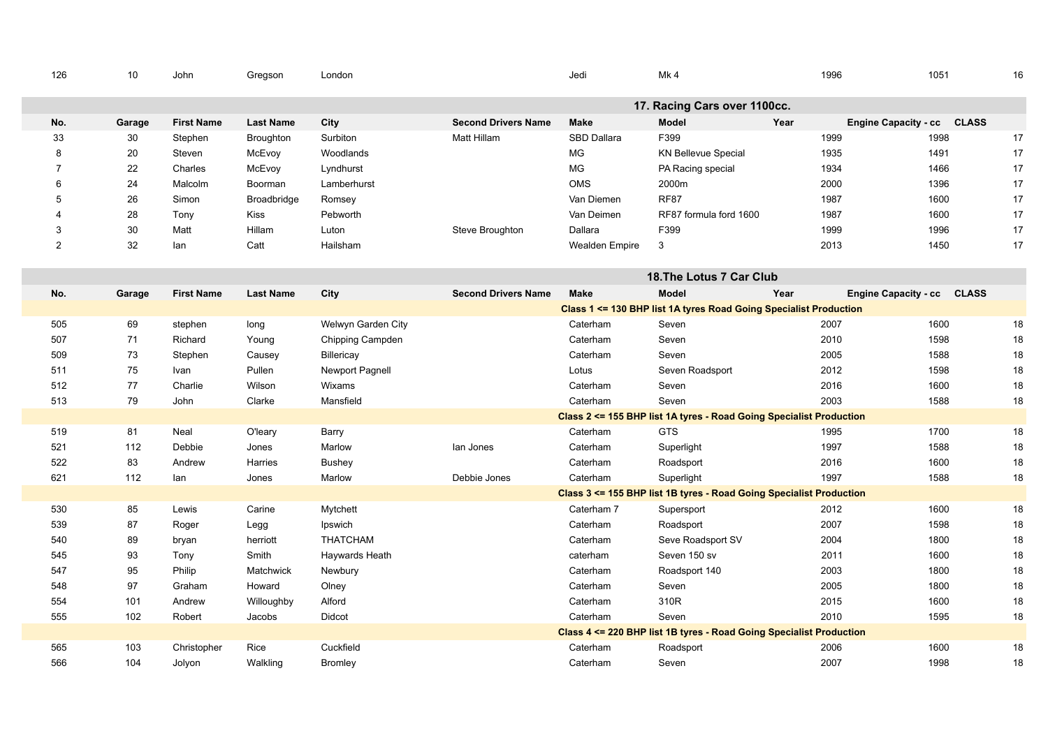| 126            | 10     | John              | Gregson          | London                 |                            | Jedi           | Mk4                                                                 | 1996 | 1051                       | 16     |
|----------------|--------|-------------------|------------------|------------------------|----------------------------|----------------|---------------------------------------------------------------------|------|----------------------------|--------|
|                |        |                   |                  |                        |                            |                | 17. Racing Cars over 1100cc.                                        |      |                            |        |
| No.            | Garage | <b>First Name</b> | <b>Last Name</b> | City                   | <b>Second Drivers Name</b> | <b>Make</b>    | <b>Model</b>                                                        | Year | Engine Capacity - cc CLASS |        |
| 33             | 30     | Stephen           | <b>Broughton</b> | Surbiton               | Matt Hillam                | SBD Dallara    | F399                                                                | 1999 | 1998                       | 17     |
| 8              | 20     | Steven            | McEvoy           | Woodlands              |                            | MG             | <b>KN Bellevue Special</b>                                          | 1935 | 1491                       | 17     |
| $\overline{7}$ | 22     | Charles           | McEvoy           | Lyndhurst              |                            | MG             | PA Racing special                                                   | 1934 | 1466                       | 17     |
| 6              | 24     | Malcolm           | Boorman          | Lamberhurst            |                            | OMS            | 2000m                                                               | 2000 | 1396                       | 17     |
| 5              | 26     | Simon             | Broadbridge      | Romsey                 |                            | Van Diemen     | <b>RF87</b>                                                         | 1987 | 1600                       | 17     |
| 4              | 28     | Tony              | Kiss             | Pebworth               |                            | Van Deimen     | RF87 formula ford 1600                                              | 1987 | 1600                       | 17     |
| 3              | 30     | Matt              | Hillam           | Luton                  | Steve Broughton            | Dallara        | F399                                                                | 1999 | 1996                       | 17     |
| $\overline{2}$ | 32     | lan               | Catt             | Hailsham               |                            | Wealden Empire | 3                                                                   | 2013 | 1450                       | 17     |
|                |        |                   |                  |                        |                            |                | 18. The Lotus 7 Car Club                                            |      |                            |        |
| No.            | Garage | <b>First Name</b> | <b>Last Name</b> | City                   | <b>Second Drivers Name</b> | <b>Make</b>    | <b>Model</b>                                                        | Year | Engine Capacity - cc CLASS |        |
|                |        |                   |                  |                        |                            |                | Class 1 <= 130 BHP list 1A tyres Road Going Specialist Production   |      |                            |        |
| 505            | 69     | stephen           | long             | Welwyn Garden City     |                            | Caterham       | Seven                                                               | 2007 | 1600                       | 18     |
| 507            | 71     | Richard           | Young            | Chipping Campden       |                            | Caterham       | Seven                                                               | 2010 | 1598                       | $18\,$ |
| 509            | 73     | Stephen           | Causey           | Billericay             |                            | Caterham       | Seven                                                               | 2005 | 1588                       | 18     |
| 511            | 75     | Ivan              | Pullen           | <b>Newport Pagnell</b> |                            | Lotus          | Seven Roadsport                                                     | 2012 | 1598                       | $18\,$ |
| 512            | 77     | Charlie           | Wilson           | Wixams                 |                            | Caterham       | Seven                                                               | 2016 | 1600                       | 18     |
| 513            | 79     | John              | Clarke           | Mansfield              |                            | Caterham       | Seven                                                               | 2003 | 1588                       | 18     |
|                |        |                   |                  |                        |                            |                | Class 2 <= 155 BHP list 1A tyres - Road Going Specialist Production |      |                            |        |
| 519            | 81     | Neal              | O'leary          | Barry                  |                            | Caterham       | GTS                                                                 | 1995 | 1700                       | $18\,$ |
| 521            | 112    | Debbie            | Jones            | Marlow                 | lan Jones                  | Caterham       | Superlight                                                          | 1997 | 1588                       | 18     |
| 522            | 83     | Andrew            | Harries          | <b>Bushey</b>          |                            | Caterham       | Roadsport                                                           | 2016 | 1600                       | 18     |
| 621            | 112    | lan               | Jones            | Marlow                 | Debbie Jones               | Caterham       | Superlight                                                          | 1997 | 1588                       | 18     |
|                |        |                   |                  |                        |                            |                | Class 3 <= 155 BHP list 1B tyres - Road Going Specialist Production |      |                            |        |
| 530            | 85     | Lewis             | Carine           | Mytchett               |                            | Caterham 7     | Supersport                                                          | 2012 | 1600                       | 18     |
| 539            | 87     | Roger             | Legg             | Ipswich                |                            | Caterham       | Roadsport                                                           | 2007 | 1598                       | 18     |
| 540            | 89     | bryan             | herriott         | <b>THATCHAM</b>        |                            | Caterham       | Seve Roadsport SV                                                   | 2004 | 1800                       | $18\,$ |
| 545            | 93     | Tony              | Smith            | Haywards Heath         |                            | caterham       | Seven 150 sv                                                        | 2011 | 1600                       | 18     |
| 547            | 95     | Philip            | Matchwick        | Newbury                |                            | Caterham       | Roadsport 140                                                       | 2003 | 1800                       | $18\,$ |
| 548            | 97     | Graham            | Howard           | Olney                  |                            | Caterham       | Seven                                                               | 2005 | 1800                       | $18\,$ |
| 554            | 101    | Andrew            | Willoughby       | Alford                 |                            | Caterham       | 310R                                                                | 2015 | 1600                       | 18     |
| 555            | 102    | Robert            | Jacobs           | Didcot                 |                            | Caterham       | Seven                                                               | 2010 | 1595                       | 18     |
|                |        |                   |                  |                        |                            |                | Class 4 <= 220 BHP list 1B tyres - Road Going Specialist Production |      |                            |        |
| 565            | 103    | Christopher       | Rice             | Cuckfield              |                            | Caterham       | Roadsport                                                           | 2006 | 1600                       | 18     |
| 566            | 104    | Jolyon            | Walkling         | <b>Bromley</b>         |                            | Caterham       | Seven                                                               | 2007 | 1998                       | 18     |